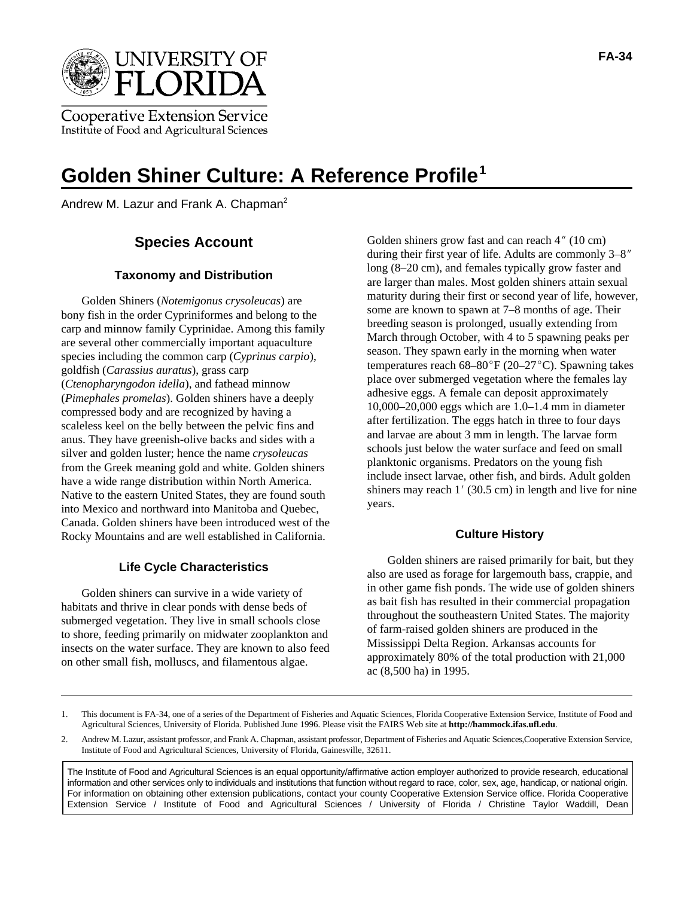

**Cooperative Extension Service** Institute of Food and Agricultural Sciences

# **Golden Shiner Culture: A Reference Profile1**

Andrew M. Lazur and Frank A. Chapman<sup>2</sup>

#### **Taxonomy and Distribution**

Golden Shiners (*Notemigonus crysoleucas*) are bony fish in the order Cypriniformes and belong to the carp and minnow family Cyprinidae. Among this family are several other commercially important aquaculture species including the common carp (*Cyprinus carpio*), goldfish (*Carassius auratus*), grass carp (*Ctenopharyngodon idella*), and fathead minnow (*Pimephales promelas*). Golden shiners have a deeply compressed body and are recognized by having a scaleless keel on the belly between the pelvic fins and anus. They have greenish-olive backs and sides with a silver and golden luster; hence the name *crysoleucas* from the Greek meaning gold and white. Golden shiners have a wide range distribution within North America. Native to the eastern United States, they are found south into Mexico and northward into Manitoba and Quebec, Canada. Golden shiners have been introduced west of the Rocky Mountains and are well established in California.

#### **Life Cycle Characteristics**

Golden shiners can survive in a wide variety of habitats and thrive in clear ponds with dense beds of submerged vegetation. They live in small schools close to shore, feeding primarily on midwater zooplankton and insects on the water surface. They are known to also feed on other small fish, molluscs, and filamentous algae.

**Species Account** Golden shiners grow fast and can reach 4" (10 cm)<br>during their first year of life. Adults are commonly 3–8" Golden shiners grow fast and can reach  $4''$  (10 cm) long (8–20 cm), and females typically grow faster and are larger than males. Most golden shiners attain sexual maturity during their first or second year of life, however, some are known to spawn at 7–8 months of age. Their breeding season is prolonged, usually extending from March through October, with 4 to 5 spawning peaks per season. They spawn early in the morning when water temperatures reach  $68-80^\circ$ F (20–27 $^\circ$ C). Spawning takes place over submerged vegetation where the females lay adhesive eggs. A female can deposit approximately 10,000–20,000 eggs which are 1.0–1.4 mm in diameter after fertilization. The eggs hatch in three to four days and larvae are about 3 mm in length. The larvae form schools just below the water surface and feed on small planktonic organisms. Predators on the young fish include insect larvae, other fish, and birds. Adult golden shiners may reach  $1'$  (30.5 cm) in length and live for nine years.

#### **Culture History**

Golden shiners are raised primarily for bait, but they also are used as forage for largemouth bass, crappie, and in other game fish ponds. The wide use of golden shiners as bait fish has resulted in their commercial propagation throughout the southeastern United States. The majority of farm-raised golden shiners are produced in the Mississippi Delta Region. Arkansas accounts for approximately 80% of the total production with 21,000 ac (8,500 ha) in 1995.

1. This document is FA-34, one of a series of the Department of Fisheries and Aquatic Sciences, Florida Cooperative Extension Service, Institute of Food and Agricultural Sciences, University of Florida. Published June 1996. Please visit the FAIRS Web site at **http://hammock.ifas.ufl.edu**.

2. Andrew M. Lazur, assistant professor, and Frank A. Chapman, assistant professor, Department of Fisheries and Aquatic Sciences,Cooperative Extension Service, Institute of Food and Agricultural Sciences, University of Florida, Gainesville, 32611.

The Institute of Food and Agricultural Sciences is an equal opportunity/affirmative action employer authorized to provide research, educational information and other services only to individuals and institutions that function without regard to race, color, sex, age, handicap, or national origin. For information on obtaining other extension publications, contact your county Cooperative Extension Service office. Florida Cooperative Extension Service / Institute of Food and Agricultural Sciences / University of Florida / Christine Taylor Waddill, Dean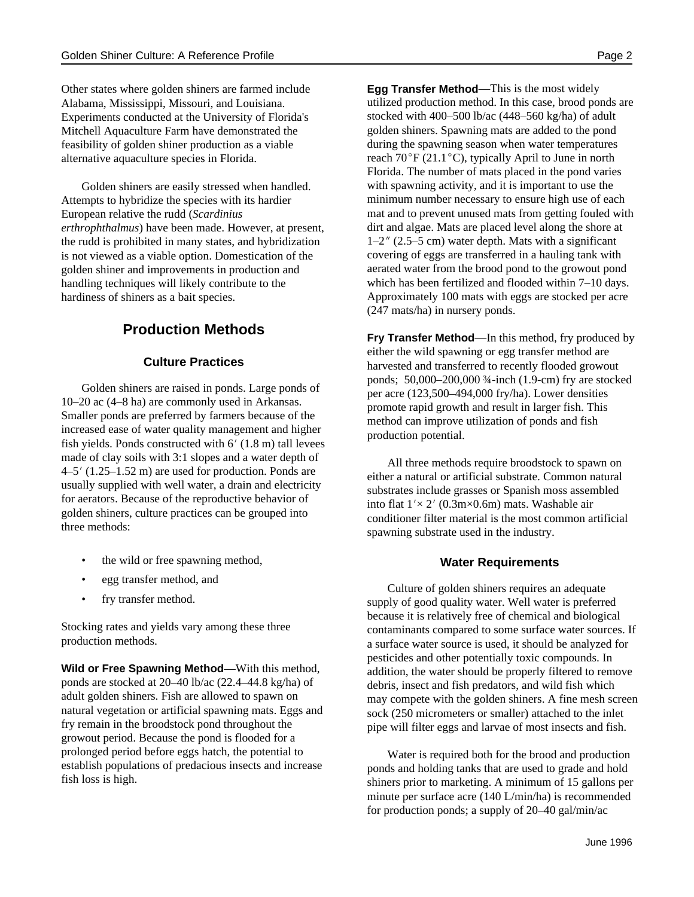Other states where golden shiners are farmed include Alabama, Mississippi, Missouri, and Louisiana. Experiments conducted at the University of Florida's Mitchell Aquaculture Farm have demonstrated the feasibility of golden shiner production as a viable alternative aquaculture species in Florida.

Golden shiners are easily stressed when handled. Attempts to hybridize the species with its hardier European relative the rudd (*Scardinius erthrophthalmus*) have been made. However, at present, the rudd is prohibited in many states, and hybridization is not viewed as a viable option. Domestication of the golden shiner and improvements in production and handling techniques will likely contribute to the hardiness of shiners as a bait species.

# **Production Methods**

#### **Culture Practices**

Golden shiners are raised in ponds. Large ponds of 10–20 ac (4–8 ha) are commonly used in Arkansas. Smaller ponds are preferred by farmers because of the increased ease of water quality management and higher fish yields. Ponds constructed with  $6'$  (1.8 m) tall levees made of clay soils with 3:1 slopes and a water depth of  $4-5'$  (1.25–1.52 m) are used for production. Ponds are usually supplied with well water, a drain and electricity for aerators. Because of the reproductive behavior of golden shiners, culture practices can be grouped into three methods:

- the wild or free spawning method,
- egg transfer method, and
- fry transfer method.

Stocking rates and yields vary among these three production methods.

**Wild or Free Spawning Method**—With this method, ponds are stocked at 20–40 lb/ac (22.4–44.8 kg/ha) of adult golden shiners. Fish are allowed to spawn on natural vegetation or artificial spawning mats. Eggs and fry remain in the broodstock pond throughout the growout period. Because the pond is flooded for a prolonged period before eggs hatch, the potential to establish populations of predacious insects and increase fish loss is high.

**Egg Transfer Method**—This is the most widely utilized production method. In this case, brood ponds are stocked with 400–500 lb/ac (448–560 kg/ha) of adult golden shiners. Spawning mats are added to the pond during the spawning season when water temperatures<br>reach  $70^{\circ}$ F (21.1 $^{\circ}$ C), typically April to June in north reach  $70^{\circ}$ F (21.1 $^{\circ}$ C), typically April to June in north Florida. The number of mats placed in the pond varies with spawning activity, and it is important to use the minimum number necessary to ensure high use of each mat and to prevent unused mats from getting fouled with dirt and algae. Mats are placed level along the shore at  $1-2$ " (2.5–5 cm) water depth. Mats with a significant covering of eggs are transferred in a hauling tank with aerated water from the brood pond to the growout pond which has been fertilized and flooded within 7–10 days. Approximately 100 mats with eggs are stocked per acre (247 mats/ha) in nursery ponds.

**Fry Transfer Method**—In this method, fry produced by either the wild spawning or egg transfer method are harvested and transferred to recently flooded growout ponds; 50,000–200,000 ¾-inch (1.9-cm) fry are stocked per acre (123,500–494,000 fry/ha). Lower densities promote rapid growth and result in larger fish. This method can improve utilization of ponds and fish production potential.

All three methods require broodstock to spawn on either a natural or artificial substrate. Common natural substrates include grasses or Spanish moss assembled into flat  $1' \times 2'$  (0.3m $\times$ 0.6m) mats. Washable air conditioner filter material is the most common artificial spawning substrate used in the industry.

#### **Water Requirements**

Culture of golden shiners requires an adequate supply of good quality water. Well water is preferred because it is relatively free of chemical and biological contaminants compared to some surface water sources. If a surface water source is used, it should be analyzed for pesticides and other potentially toxic compounds. In addition, the water should be properly filtered to remove debris, insect and fish predators, and wild fish which may compete with the golden shiners. A fine mesh screen sock (250 micrometers or smaller) attached to the inlet pipe will filter eggs and larvae of most insects and fish.

Water is required both for the brood and production ponds and holding tanks that are used to grade and hold shiners prior to marketing. A minimum of 15 gallons per minute per surface acre (140 L/min/ha) is recommended for production ponds; a supply of 20–40 gal/min/ac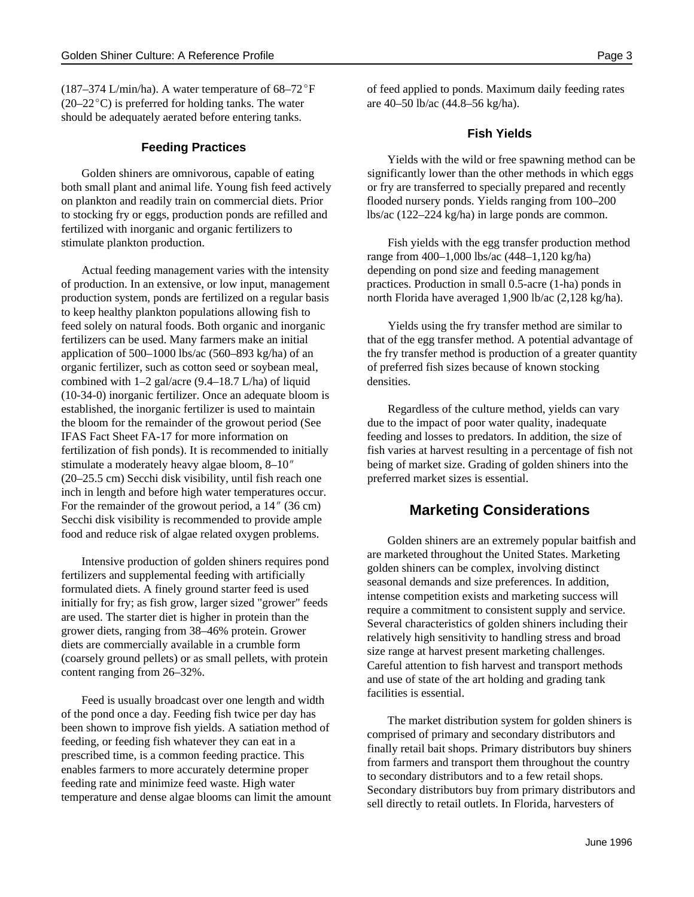(187–374 L/min/ha). A water temperature of  $68-72^{\circ}F$ (187–374 L/min/ha). A water temperature of  $68-72^{\circ}F$  of feed applied to ponds. Maxim (20–22 $^{\circ}$ C) is preferred for holding tanks. The water are 40–50 lb/ac (44.8–56 kg/ha). should be adequately aerated before entering tanks.

#### **Feeding Practices**

both small plant and animal life. Young fish feed actively or fry are transferred to specially prepared and recently on plankton and readily train on commercial diets. Prior flooded nursery ponds. Yields ranging from 100–200 to stocking fry or eggs, production ponds are refilled and lbs/ac (122–224 kg/ha) in large ponds are common. fertilized with inorganic and organic fertilizers to stimulate plankton production. Fish yields with the egg transfer production method

Actual feeding management varies with the intensity depending on pond size and feeding management of production. In an extensive, or low input, management practices. Production in small 0.5-acre (1-ha) ponds in production system, ponds are fertilized on a regular basis north Florida have averaged 1,900 lb/ac (2,128 kg/ha). to keep healthy plankton populations allowing fish to feed solely on natural foods. Both organic and inorganic Yields using the fry transfer method are similar to fertilizers can be used. Many farmers make an initial that of the egg transfer method. A potential advantage of organic fertilizer, such as cotton seed or soybean meal, of preferred fish sizes because of known stocking combined with  $1-2$  gal/acre (9.4–18.7 L/ha) of liquid densities. (10-34-0) inorganic fertilizer. Once an adequate bloom is established, the inorganic fertilizer is used to maintain Regardless of the culture method, yields can vary the bloom for the remainder of the growout period (See due to the impact of poor water quality, inadequate IFAS Fact Sheet FA-17 for more information on feeding and losses to predators. In addition, the size of fertilization of fish ponds). It is recommended to initially fish varies at harvest resulting in a percentage of fish not stimulate a moderately heavy algae bloom,  $8-10''$  being of market size. Grading of golden shiners into the (20–25.5 cm) Secchi disk visibility, until fish reach one preferred market sizes is essential. For the remainder of the growout period, a 14" (36 cm) Secchi disk visibility is recommended to provide ample food and reduce risk of algae related oxygen problems.

Intensive production of golden shiners requires pond fertilizers and supplemental feeding with artificially formulated diets. A finely ground starter feed is used initially for fry; as fish grow, larger sized "grower" feeds are used. The starter diet is higher in protein than the grower diets, ranging from 38–46% protein. Grower diets are commercially available in a crumble form (coarsely ground pellets) or as small pellets, with protein content ranging from 26–32%.

Feed is usually broadcast over one length and width of the pond once a day. Feeding fish twice per day has been shown to improve fish yields. A satiation method of feeding, or feeding fish whatever they can eat in a prescribed time, is a common feeding practice. This enables farmers to more accurately determine proper feeding rate and minimize feed waste. High water temperature and dense algae blooms can limit the amount of feed applied to ponds. Maximum daily feeding rates

#### **Fish Yields**

Golden shiners are omnivorous, capable of eating significantly lower than the other methods in which eggs Yields with the wild or free spawning method can be

range from 400–1,000 lbs/ac (448–1,120 kg/ha)

application of 500–1000 lbs/ac (560–893 kg/ha) of an the fry transfer method is production of a greater quantity

### **Marketing Considerations**

Golden shiners are an extremely popular baitfish and are marketed throughout the United States. Marketing golden shiners can be complex, involving distinct seasonal demands and size preferences. In addition, intense competition exists and marketing success will require a commitment to consistent supply and service. Several characteristics of golden shiners including their relatively high sensitivity to handling stress and broad size range at harvest present marketing challenges. Careful attention to fish harvest and transport methods and use of state of the art holding and grading tank facilities is essential.

The market distribution system for golden shiners is comprised of primary and secondary distributors and finally retail bait shops. Primary distributors buy shiners from farmers and transport them throughout the country to secondary distributors and to a few retail shops. Secondary distributors buy from primary distributors and sell directly to retail outlets. In Florida, harvesters of